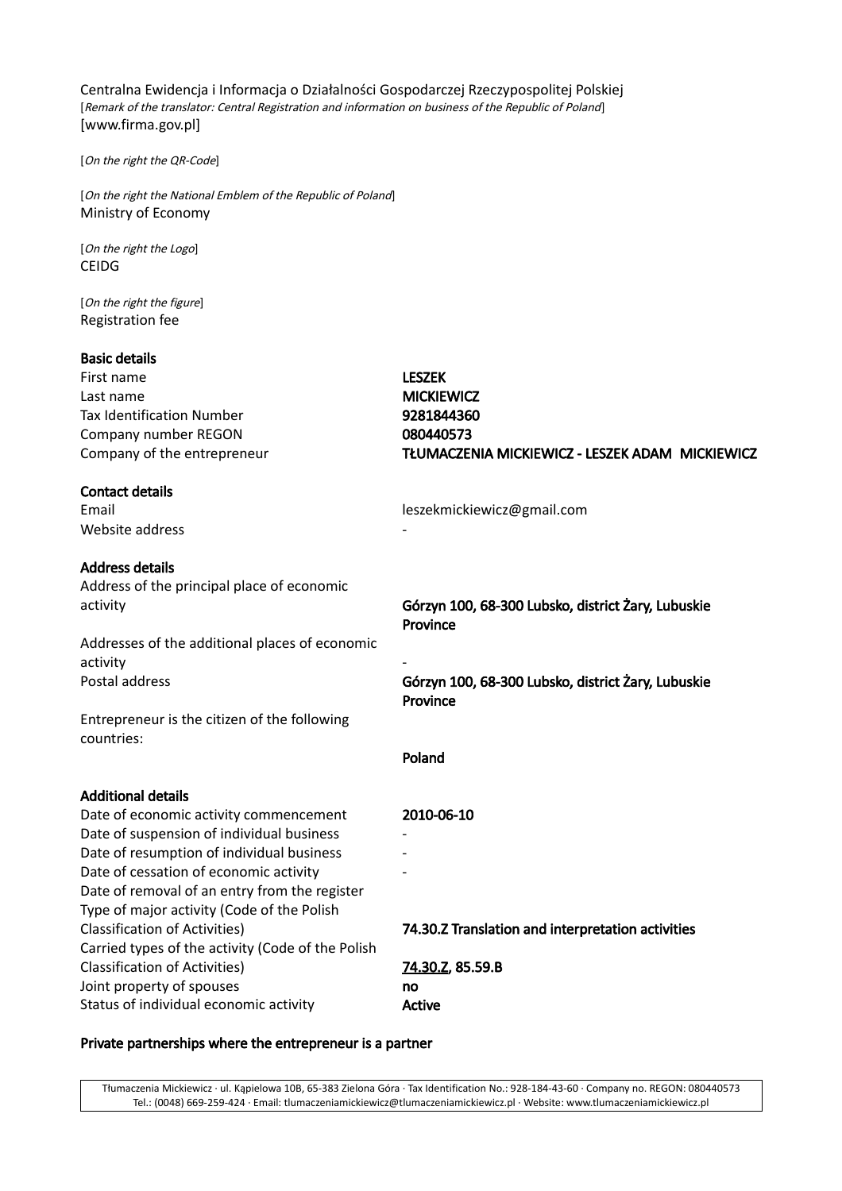Centralna Ewidencja i Informacja o Działalności Gospodarczej Rzeczypospolitej Polskiej [Remark of the translator: Central Registration and information on business of the Republic of Poland] [www.firma.gov.pl]

[On the right the QR-Code]

[On the right the National Emblem of the Republic of Poland] Ministry of Economy

[On the right the Logo] CEIDG

[On the right the figure] Registration fee

# Basic details

| First name                       | <b>LESZEK</b>                                   |
|----------------------------------|-------------------------------------------------|
| Last name                        | <b>MICKIEWICZ</b>                               |
| <b>Tax Identification Number</b> | 9281844360                                      |
| Company number REGON             | 080440573                                       |
| Company of the entrepreneur      | TŁUMACZENIA MICKIEWICZ - LESZEK ADAM MICKIEWICZ |
| <b>Contact details</b>           |                                                 |
| Email                            | leszekmickiewicz@gmail.com                      |
| Website address                  |                                                 |

# Address details

Address of the principal place of economic

Addresses of the additional places of economic activity

Entrepreneur is the citizen of the following countries:

# Additional details

Date of economic activity commencement 2010-06-10 Date of suspension of individual business - Date of resumption of individual business Date of cessation of economic activity Date of removal of an entry from the register Type of major activity (Code of the Polish Classification of Activities) 74.30.Z Translation and interpretation activities Carried types of the activity (Code of the Polish Classification of Activities) 74.30.Z, 85.59.B Joint property of spouses no Status of individual economic activity **Active** 

activity Górzyn 100, 68-300 Lubsko, district Żary, Lubuskie Province

Postal address Górzyn 100, 68-300 Lubsko, district Żary, Lubuskie Province

### Poland

# Private partnerships where the entrepreneur is a partner

Tłumaczenia Mickiewicz · ul. Kąpielowa 10B, 65-383 Zielona Góra · Tax Identification No.: 928-184-43-60 · Company no. REGON: 080440573 Tel.: (0048) 669-259-424 · Email: tlumaczeniamickiewicz@tlumaczeniamickiewicz.pl · Website: www.tlumaczeniamickiewicz.pl